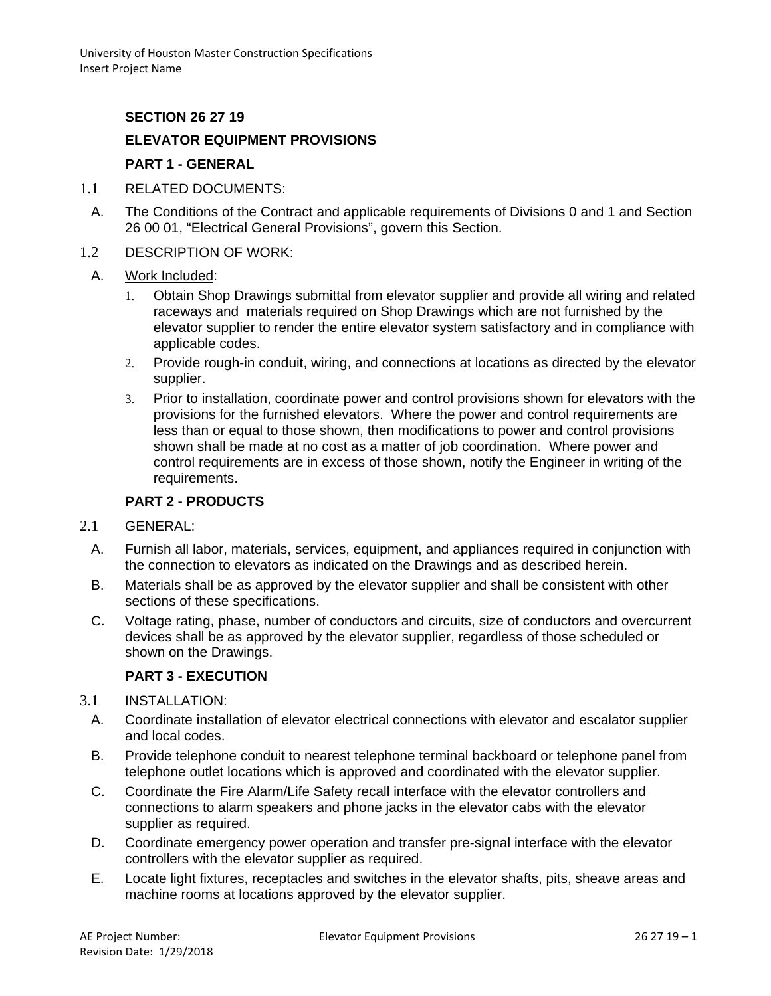# **SECTION 26 27 19**

## **ELEVATOR EQUIPMENT PROVISIONS**

### **PART 1 - GENERAL**

- 1.1 RELATED DOCUMENTS:
	- A. The Conditions of the Contract and applicable requirements of Divisions 0 and 1 and Section 26 00 01, "Electrical General Provisions", govern this Section.
- 1.2 DESCRIPTION OF WORK:
	- A. Work Included:
		- 1. Obtain Shop Drawings submittal from elevator supplier and provide all wiring and related raceways and materials required on Shop Drawings which are not furnished by the elevator supplier to render the entire elevator system satisfactory and in compliance with applicable codes.
		- 2. Provide rough-in conduit, wiring, and connections at locations as directed by the elevator supplier.
		- 3. Prior to installation, coordinate power and control provisions shown for elevators with the provisions for the furnished elevators. Where the power and control requirements are less than or equal to those shown, then modifications to power and control provisions shown shall be made at no cost as a matter of job coordination. Where power and control requirements are in excess of those shown, notify the Engineer in writing of the requirements.

## **PART 2 - PRODUCTS**

- 2.1 GENERAL:
	- A. Furnish all labor, materials, services, equipment, and appliances required in conjunction with the connection to elevators as indicated on the Drawings and as described herein.
	- B. Materials shall be as approved by the elevator supplier and shall be consistent with other sections of these specifications.
	- C. Voltage rating, phase, number of conductors and circuits, size of conductors and overcurrent devices shall be as approved by the elevator supplier, regardless of those scheduled or shown on the Drawings.

#### **PART 3 - EXECUTION**

- 3.1 INSTALLATION:
	- A. Coordinate installation of elevator electrical connections with elevator and escalator supplier and local codes.
	- B. Provide telephone conduit to nearest telephone terminal backboard or telephone panel from telephone outlet locations which is approved and coordinated with the elevator supplier.
	- C. Coordinate the Fire Alarm/Life Safety recall interface with the elevator controllers and connections to alarm speakers and phone jacks in the elevator cabs with the elevator supplier as required.
	- D. Coordinate emergency power operation and transfer pre-signal interface with the elevator controllers with the elevator supplier as required.
	- E. Locate light fixtures, receptacles and switches in the elevator shafts, pits, sheave areas and machine rooms at locations approved by the elevator supplier.